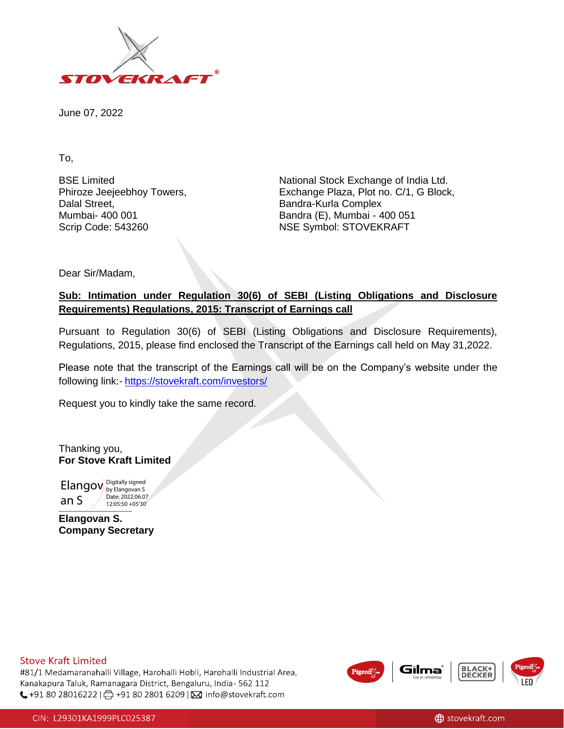

June 07, 2022

To,

BSE Limited Phiroze Jeejeebhoy Towers, Dalal Street, Mumbai- 400 001 Scrip Code: 543260

National Stock Exchange of India Ltd. Exchange Plaza, Plot no. C/1, G Block, Bandra-Kurla Complex Bandra (E), Mumbai - 400 051 NSE Symbol: STOVEKRAFT

Dear Sir/Madam,

## **Sub: Intimation under Regulation 30(6) of SEBI (Listing Obligations and Disclosure Requirements) Regulations, 2015: Transcript of Earnings call**

Pursuant to Regulation 30(6) of SEBI (Listing Obligations and Disclosure Requirements), Regulations, 2015, please find enclosed the Transcript of the Earnings call held on May 31,2022.

Please note that the transcript of the Earnings call will be on the Company's website under the following link:- <https://stovekraft.com/investors/>

Request you to kindly take the same record.

Thanking you, **For Stove Kraft Limited**

**all 3** 12:05:50 +05'30' Elangov Digitally signed an S Date: 2022.06.07

**Elangovan S. Company Secretary**

### **Stove Kraft Limited**

#81/1 Medamaranahalli Village, Harohalli Hobli, Harohalli Industrial Area, Kanakapura Taluk, Ramanagara District, Bengaluru, India- 562 112 ↓+91 80 28016222 | 日 +91 80 2801 6209 | ⊠ info@stovekraft.com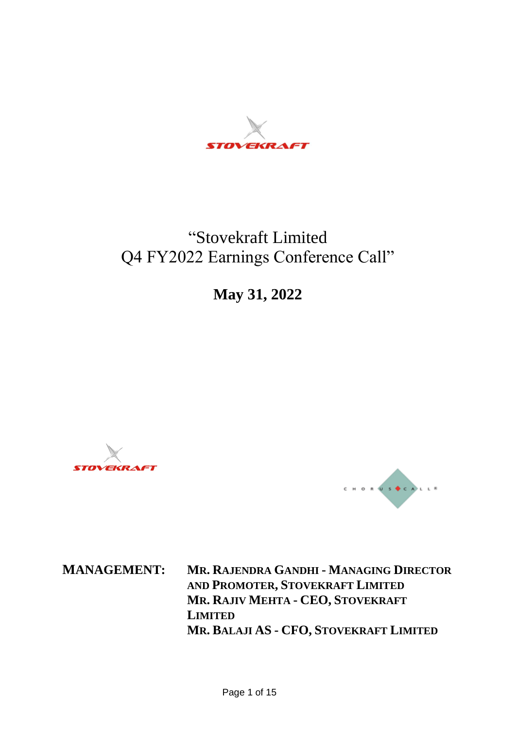

# "Stovekraft Limited Q4 FY2022 Earnings Conference Call"

**May 31, 2022** 





**MANAGEMENT: MR. RAJENDRA GANDHI - MANAGING DIRECTOR AND PROMOTER, STOVEKRAFT LIMITED MR. RAJIV MEHTA - CEO, STOVEKRAFT LIMITED MR. BALAJI AS - CFO, STOVEKRAFT LIMITED**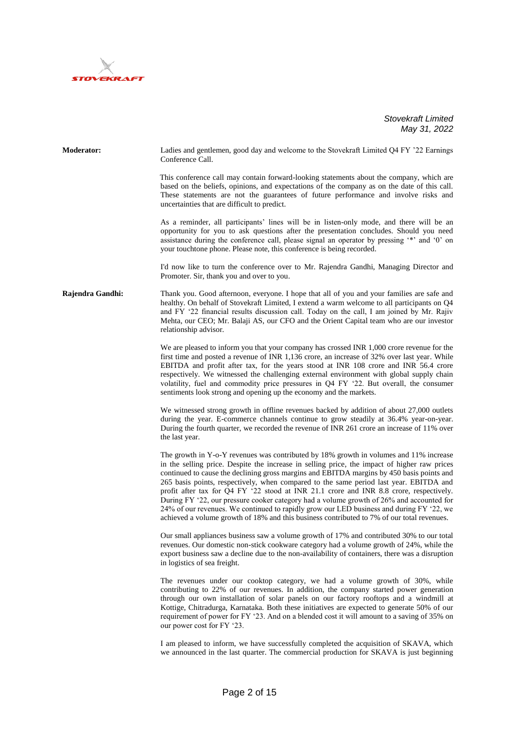

**Moderator:** Ladies and gentlemen, good day and welcome to the Stovekraft Limited Q4 FY '22 Earnings Conference Call. This conference call may contain forward-looking statements about the company, which are based on the beliefs, opinions, and expectations of the company as on the date of this call. These statements are not the guarantees of future performance and involve risks and uncertainties that are difficult to predict. As a reminder, all participants' lines will be in listen-only mode, and there will be an

opportunity for you to ask questions after the presentation concludes. Should you need assistance during the conference call, please signal an operator by pressing '\*' and '0' on your touchtone phone. Please note, this conference is being recorded.

I'd now like to turn the conference over to Mr. Rajendra Gandhi, Managing Director and Promoter. Sir, thank you and over to you.

**Rajendra Gandhi:** Thank you. Good afternoon, everyone. I hope that all of you and your families are safe and healthy. On behalf of Stovekraft Limited, I extend a warm welcome to all participants on Q4 and FY '22 financial results discussion call. Today on the call, I am joined by Mr. Rajiv Mehta, our CEO; Mr. Balaji AS, our CFO and the Orient Capital team who are our investor relationship advisor.

> We are pleased to inform you that your company has crossed INR 1,000 crore revenue for the first time and posted a revenue of INR 1,136 crore, an increase of 32% over last year. While EBITDA and profit after tax, for the years stood at INR 108 crore and INR 56.4 crore respectively. We witnessed the challenging external environment with global supply chain volatility, fuel and commodity price pressures in Q4 FY '22. But overall, the consumer sentiments look strong and opening up the economy and the markets.

> We witnessed strong growth in offline revenues backed by addition of about 27,000 outlets during the year. E-commerce channels continue to grow steadily at 36.4% year-on-year. During the fourth quarter, we recorded the revenue of INR 261 crore an increase of 11% over the last year.

> The growth in Y-o-Y revenues was contributed by 18% growth in volumes and 11% increase in the selling price. Despite the increase in selling price, the impact of higher raw prices continued to cause the declining gross margins and EBITDA margins by 450 basis points and 265 basis points, respectively, when compared to the same period last year. EBITDA and profit after tax for Q4 FY '22 stood at INR 21.1 crore and INR 8.8 crore, respectively. During FY '22, our pressure cooker category had a volume growth of 26% and accounted for 24% of our revenues. We continued to rapidly grow our LED business and during FY '22, we achieved a volume growth of 18% and this business contributed to 7% of our total revenues.

> Our small appliances business saw a volume growth of 17% and contributed 30% to our total revenues. Our domestic non-stick cookware category had a volume growth of 24%, while the export business saw a decline due to the non-availability of containers, there was a disruption in logistics of sea freight.

> The revenues under our cooktop category, we had a volume growth of 30%, while contributing to 22% of our revenues. In addition, the company started power generation through our own installation of solar panels on our factory rooftops and a windmill at Kottige, Chitradurga, Karnataka. Both these initiatives are expected to generate 50% of our requirement of power for FY '23. And on a blended cost it will amount to a saving of 35% on our power cost for FY '23.

> I am pleased to inform, we have successfully completed the acquisition of SKAVA, which we announced in the last quarter. The commercial production for SKAVA is just beginning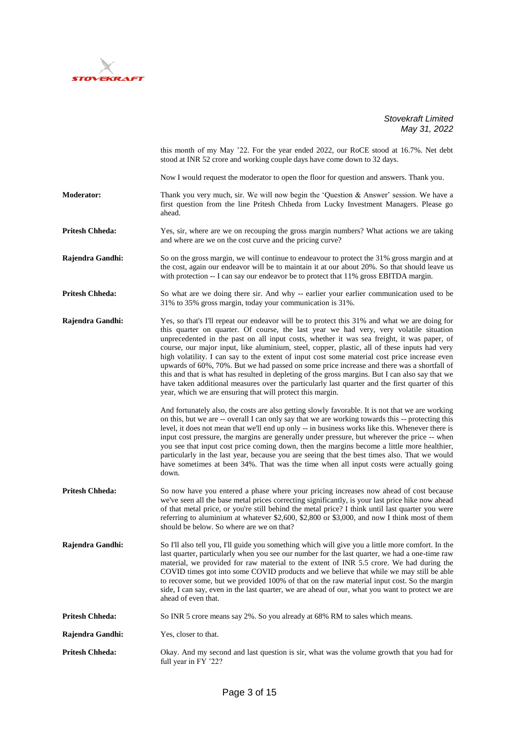

this month of my May '22. For the year ended 2022, our RoCE stood at 16.7%. Net debt stood at INR 52 crore and working couple days have come down to 32 days. Now I would request the moderator to open the floor for question and answers. Thank you. **Moderator:** Thank you very much, sir. We will now begin the 'Question & Answer' session. We have a first question from the line Pritesh Chheda from Lucky Investment Managers. Please go ahead. **Pritesh Chheda:** Yes, sir, where are we on recouping the gross margin numbers? What actions we are taking and where are we on the cost curve and the pricing curve? **Rajendra Gandhi:** So on the gross margin, we will continue to endeavour to protect the 31% gross margin and at the cost, again our endeavor will be to maintain it at our about 20%. So that should leave us with protection -- I can say our endeavor be to protect that 11% gross EBITDA margin. **Pritesh Chheda:** So what are we doing there sir. And why -- earlier your earlier communication used to be 31% to 35% gross margin, today your communication is 31%. **Rajendra Gandhi:** Yes, so that's I'll repeat our endeavor will be to protect this 31% and what we are doing for this quarter on quarter. Of course, the last year we had very, very volatile situation unprecedented in the past on all input costs, whether it was sea freight, it was paper, of course, our major input, like aluminium, steel, copper, plastic, all of these inputs had very high volatility. I can say to the extent of input cost some material cost price increase even upwards of 60%, 70%. But we had passed on some price increase and there was a shortfall of this and that is what has resulted in depleting of the gross margins. But I can also say that we have taken additional measures over the particularly last quarter and the first quarter of this year, which we are ensuring that will protect this margin. And fortunately also, the costs are also getting slowly favorable. It is not that we are working on this, but we are -- overall I can only say that we are working towards this -- protecting this level, it does not mean that we'll end up only -- in business works like this. Whenever there is input cost pressure, the margins are generally under pressure, but wherever the price -- when you see that input cost price coming down, then the margins become a little more healthier, particularly in the last year, because you are seeing that the best times also. That we would have sometimes at been 34%. That was the time when all input costs were actually going down. **Pritesh Chheda:** So now have you entered a phase where your pricing increases now ahead of cost because we've seen all the base metal prices correcting significantly, is your last price hike now ahead of that metal price, or you're still behind the metal price? I think until last quarter you were referring to aluminium at whatever \$2,600, \$2,800 or \$3,000, and now I think most of them should be below. So where are we on that? **Rajendra Gandhi:** So I'll also tell you, I'll guide you something which will give you a little more comfort. In the last quarter, particularly when you see our number for the last quarter, we had a one-time raw material, we provided for raw material to the extent of INR 5.5 crore. We had during the COVID times got into some COVID products and we believe that while we may still be able to recover some, but we provided 100% of that on the raw material input cost. So the margin side, I can say, even in the last quarter, we are ahead of our, what you want to protect we are ahead of even that. **Pritesh Chheda:** So INR 5 crore means say 2%. So you already at 68% RM to sales which means. **Rajendra Gandhi:** Yes, closer to that. **Pritesh Chheda:** Okay. And my second and last question is sir, what was the volume growth that you had for full year in FY '22?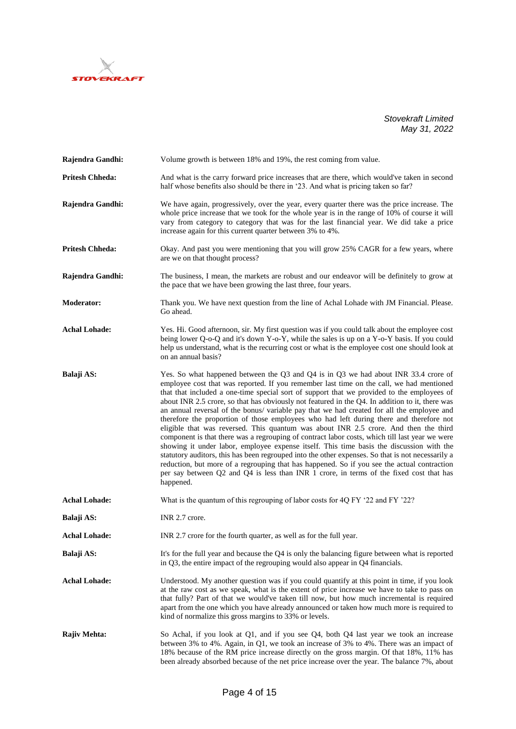

| Rajendra Gandhi:       | Volume growth is between 18% and 19%, the rest coming from value.                                                                                                                                                                                                                                                                                                                                                                                                                                                                                                                                                                                                                                                                                                                                                                                                                                                                                                                                                                                                                                                                                                           |
|------------------------|-----------------------------------------------------------------------------------------------------------------------------------------------------------------------------------------------------------------------------------------------------------------------------------------------------------------------------------------------------------------------------------------------------------------------------------------------------------------------------------------------------------------------------------------------------------------------------------------------------------------------------------------------------------------------------------------------------------------------------------------------------------------------------------------------------------------------------------------------------------------------------------------------------------------------------------------------------------------------------------------------------------------------------------------------------------------------------------------------------------------------------------------------------------------------------|
| <b>Pritesh Chheda:</b> | And what is the carry forward price increases that are there, which would've taken in second<br>half whose benefits also should be there in '23. And what is pricing taken so far?                                                                                                                                                                                                                                                                                                                                                                                                                                                                                                                                                                                                                                                                                                                                                                                                                                                                                                                                                                                          |
| Rajendra Gandhi:       | We have again, progressively, over the year, every quarter there was the price increase. The<br>whole price increase that we took for the whole year is in the range of 10% of course it will<br>vary from category to category that was for the last financial year. We did take a price<br>increase again for this current quarter between 3% to 4%.                                                                                                                                                                                                                                                                                                                                                                                                                                                                                                                                                                                                                                                                                                                                                                                                                      |
| <b>Pritesh Chheda:</b> | Okay. And past you were mentioning that you will grow 25% CAGR for a few years, where<br>are we on that thought process?                                                                                                                                                                                                                                                                                                                                                                                                                                                                                                                                                                                                                                                                                                                                                                                                                                                                                                                                                                                                                                                    |
| Rajendra Gandhi:       | The business, I mean, the markets are robust and our endeavor will be definitely to grow at<br>the pace that we have been growing the last three, four years.                                                                                                                                                                                                                                                                                                                                                                                                                                                                                                                                                                                                                                                                                                                                                                                                                                                                                                                                                                                                               |
| <b>Moderator:</b>      | Thank you. We have next question from the line of Achal Lohade with JM Financial. Please.<br>Go ahead.                                                                                                                                                                                                                                                                                                                                                                                                                                                                                                                                                                                                                                                                                                                                                                                                                                                                                                                                                                                                                                                                      |
| <b>Achal Lohade:</b>   | Yes. Hi. Good afternoon, sir. My first question was if you could talk about the employee cost<br>being lower Q-o-Q and it's down Y-o-Y, while the sales is up on a Y-o-Y basis. If you could<br>help us understand, what is the recurring cost or what is the employee cost one should look at<br>on an annual basis?                                                                                                                                                                                                                                                                                                                                                                                                                                                                                                                                                                                                                                                                                                                                                                                                                                                       |
| Balaji AS:             | Yes. So what happened between the Q3 and Q4 is in Q3 we had about INR 33.4 crore of<br>employee cost that was reported. If you remember last time on the call, we had mentioned<br>that that included a one-time special sort of support that we provided to the employees of<br>about INR 2.5 crore, so that has obviously not featured in the Q4. In addition to it, there was<br>an annual reversal of the bonus/ variable pay that we had created for all the employee and<br>therefore the proportion of those employees who had left during there and therefore not<br>eligible that was reversed. This quantum was about INR 2.5 crore. And then the third<br>component is that there was a regrouping of contract labor costs, which till last year we were<br>showing it under labor, employee expense itself. This time basis the discussion with the<br>statutory auditors, this has been regrouped into the other expenses. So that is not necessarily a<br>reduction, but more of a regrouping that has happened. So if you see the actual contraction<br>per say between Q2 and Q4 is less than INR 1 crore, in terms of the fixed cost that has<br>happened. |
| <b>Achal Lohade:</b>   | What is the quantum of this regrouping of labor costs for 4Q FY '22 and FY '22?                                                                                                                                                                                                                                                                                                                                                                                                                                                                                                                                                                                                                                                                                                                                                                                                                                                                                                                                                                                                                                                                                             |
| Balaji AS:             | INR 2.7 crore.                                                                                                                                                                                                                                                                                                                                                                                                                                                                                                                                                                                                                                                                                                                                                                                                                                                                                                                                                                                                                                                                                                                                                              |
| <b>Achal Lohade:</b>   | INR 2.7 crore for the fourth quarter, as well as for the full year.                                                                                                                                                                                                                                                                                                                                                                                                                                                                                                                                                                                                                                                                                                                                                                                                                                                                                                                                                                                                                                                                                                         |
| Balaji AS:             | It's for the full year and because the $Q4$ is only the balancing figure between what is reported<br>in Q3, the entire impact of the regrouping would also appear in Q4 financials.                                                                                                                                                                                                                                                                                                                                                                                                                                                                                                                                                                                                                                                                                                                                                                                                                                                                                                                                                                                         |
| <b>Achal Lohade:</b>   | Understood. My another question was if you could quantify at this point in time, if you look<br>at the raw cost as we speak, what is the extent of price increase we have to take to pass on<br>that fully? Part of that we would've taken till now, but how much incremental is required<br>apart from the one which you have already announced or taken how much more is required to<br>kind of normalize this gross margins to 33% or levels.                                                                                                                                                                                                                                                                                                                                                                                                                                                                                                                                                                                                                                                                                                                            |
| Rajiv Mehta:           | So Achal, if you look at Q1, and if you see Q4, both Q4 last year we took an increase<br>between 3% to 4%. Again, in Q1, we took an increase of 3% to 4%. There was an impact of<br>18% because of the RM price increase directly on the gross margin. Of that 18%, 11% has                                                                                                                                                                                                                                                                                                                                                                                                                                                                                                                                                                                                                                                                                                                                                                                                                                                                                                 |

been already absorbed because of the net price increase over the year. The balance 7%, about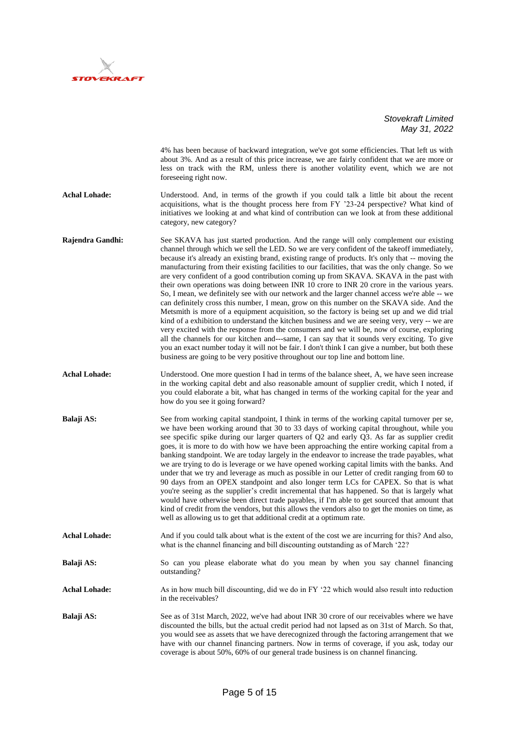

|                      | $may$ $v_1$ , $Luz$                                                                                                                                                                                                                                                                                                                                                                                                                                                                                                                                                                                                                                                                                                                                                                                                                                                                                                                                                                                                                                                                                                                                                                                                                                                                                                                                                     |
|----------------------|-------------------------------------------------------------------------------------------------------------------------------------------------------------------------------------------------------------------------------------------------------------------------------------------------------------------------------------------------------------------------------------------------------------------------------------------------------------------------------------------------------------------------------------------------------------------------------------------------------------------------------------------------------------------------------------------------------------------------------------------------------------------------------------------------------------------------------------------------------------------------------------------------------------------------------------------------------------------------------------------------------------------------------------------------------------------------------------------------------------------------------------------------------------------------------------------------------------------------------------------------------------------------------------------------------------------------------------------------------------------------|
|                      | 4% has been because of backward integration, we've got some efficiencies. That left us with<br>about 3%. And as a result of this price increase, we are fairly confident that we are more or<br>less on track with the RM, unless there is another volatility event, which we are not<br>foreseeing right now.                                                                                                                                                                                                                                                                                                                                                                                                                                                                                                                                                                                                                                                                                                                                                                                                                                                                                                                                                                                                                                                          |
| <b>Achal Lohade:</b> | Understood. And, in terms of the growth if you could talk a little bit about the recent<br>acquisitions, what is the thought process here from FY '23-24 perspective? What kind of<br>initiatives we looking at and what kind of contribution can we look at from these additional<br>category, new category?                                                                                                                                                                                                                                                                                                                                                                                                                                                                                                                                                                                                                                                                                                                                                                                                                                                                                                                                                                                                                                                           |
| Rajendra Gandhi:     | See SKAVA has just started production. And the range will only complement our existing<br>channel through which we sell the LED. So we are very confident of the takeoff immediately,<br>because it's already an existing brand, existing range of products. It's only that -- moving the<br>manufacturing from their existing facilities to our facilities, that was the only change. So we<br>are very confident of a good contribution coming up from SKAVA. SKAVA in the past with<br>their own operations was doing between INR 10 crore to INR 20 crore in the various years.<br>So, I mean, we definitely see with our network and the larger channel access we're able -- we<br>can definitely cross this number, I mean, grow on this number on the SKAVA side. And the<br>Metsmith is more of a equipment acquisition, so the factory is being set up and we did trial<br>kind of a exhibition to understand the kitchen business and we are seeing very, very -- we are<br>very excited with the response from the consumers and we will be, now of course, exploring<br>all the channels for our kitchen and---same, I can say that it sounds very exciting. To give<br>you an exact number today it will not be fair. I don't think I can give a number, but both these<br>business are going to be very positive throughout our top line and bottom line. |
| <b>Achal Lohade:</b> | Understood. One more question I had in terms of the balance sheet, A, we have seen increase<br>in the working capital debt and also reasonable amount of supplier credit, which I noted, if<br>you could elaborate a bit, what has changed in terms of the working capital for the year and<br>how do you see it going forward?                                                                                                                                                                                                                                                                                                                                                                                                                                                                                                                                                                                                                                                                                                                                                                                                                                                                                                                                                                                                                                         |
| Balaji AS:           | See from working capital standpoint, I think in terms of the working capital turnover per se,<br>we have been working around that 30 to 33 days of working capital throughout, while you<br>see specific spike during our larger quarters of Q2 and early Q3. As far as supplier credit<br>goes, it is more to do with how we have been approaching the entire working capital from a<br>banking standpoint. We are today largely in the endeavor to increase the trade payables, what<br>we are trying to do is leverage or we have opened working capital limits with the banks. And<br>under that we try and leverage as much as possible in our Letter of credit ranging from 60 to<br>90 days from an OPEX standpoint and also longer term LCs for CAPEX. So that is what<br>you're seeing as the supplier's credit incremental that has happened. So that is largely what<br>would have otherwise been direct trade payables, if I'm able to get sourced that amount that<br>kind of credit from the vendors, but this allows the vendors also to get the monies on time, as<br>well as allowing us to get that additional credit at a optimum rate.                                                                                                                                                                                                              |
| <b>Achal Lohade:</b> | And if you could talk about what is the extent of the cost we are incurring for this? And also,<br>what is the channel financing and bill discounting outstanding as of March '22?                                                                                                                                                                                                                                                                                                                                                                                                                                                                                                                                                                                                                                                                                                                                                                                                                                                                                                                                                                                                                                                                                                                                                                                      |
| Balaji AS:           | So can you please elaborate what do you mean by when you say channel financing<br>outstanding?                                                                                                                                                                                                                                                                                                                                                                                                                                                                                                                                                                                                                                                                                                                                                                                                                                                                                                                                                                                                                                                                                                                                                                                                                                                                          |
| <b>Achal Lohade:</b> | As in how much bill discounting, did we do in FY '22 which would also result into reduction<br>in the receivables?                                                                                                                                                                                                                                                                                                                                                                                                                                                                                                                                                                                                                                                                                                                                                                                                                                                                                                                                                                                                                                                                                                                                                                                                                                                      |
| Balaji AS:           | See as of 31st March, 2022, we've had about INR 30 crore of our receivables where we have<br>discounted the bills, but the actual credit period had not lapsed as on 31st of March. So that,<br>you would see as assets that we have derecognized through the factoring arrangement that we<br>have with our channel financing partners. Now in terms of coverage, if you ask, today our<br>coverage is about 50%, 60% of our general trade business is on channel financing.                                                                                                                                                                                                                                                                                                                                                                                                                                                                                                                                                                                                                                                                                                                                                                                                                                                                                           |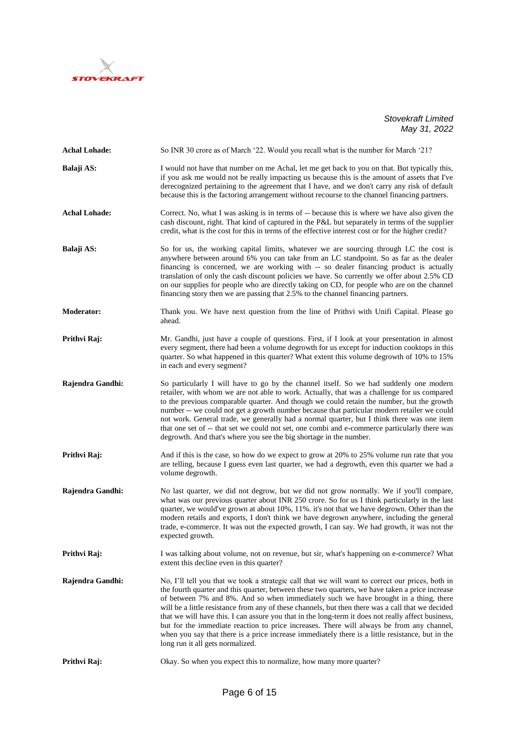

| <b>Achal Lohade:</b> | So INR 30 crore as of March '22. Would you recall what is the number for March '21?                                                                                                                                                                                                                                                                                                                                                                                                                                                                                                                                                                                                                                                         |
|----------------------|---------------------------------------------------------------------------------------------------------------------------------------------------------------------------------------------------------------------------------------------------------------------------------------------------------------------------------------------------------------------------------------------------------------------------------------------------------------------------------------------------------------------------------------------------------------------------------------------------------------------------------------------------------------------------------------------------------------------------------------------|
| Balaji AS:           | I would not have that number on me Achal, let me get back to you on that. But typically this,<br>if you ask me would not be really impacting us because this is the amount of assets that I've<br>derecognized pertaining to the agreement that I have, and we don't carry any risk of default<br>because this is the factoring arrangement without recourse to the channel financing partners.                                                                                                                                                                                                                                                                                                                                             |
| <b>Achal Lohade:</b> | Correct. No, what I was asking is in terms of -- because this is where we have also given the<br>cash discount, right. That kind of captured in the P&L but separately in terms of the supplier<br>credit, what is the cost for this in terms of the effective interest cost or for the higher credit?                                                                                                                                                                                                                                                                                                                                                                                                                                      |
| Balaji AS:           | So for us, the working capital limits, whatever we are sourcing through LC the cost is<br>anywhere between around 6% you can take from an LC standpoint. So as far as the dealer<br>financing is concerned, we are working with -- so dealer financing product is actually<br>translation of only the cash discount policies we have. So currently we offer about 2.5% CD<br>on our supplies for people who are directly taking on CD, for people who are on the channel<br>financing story then we are passing that 2.5% to the channel financing partners.                                                                                                                                                                                |
| <b>Moderator:</b>    | Thank you. We have next question from the line of Prithvi with Unifi Capital. Please go<br>ahead.                                                                                                                                                                                                                                                                                                                                                                                                                                                                                                                                                                                                                                           |
| Prithvi Raj:         | Mr. Gandhi, just have a couple of questions. First, if I look at your presentation in almost<br>every segment, there had been a volume degrowth for us except for induction cooktops in this<br>quarter. So what happened in this quarter? What extent this volume degrowth of 10% to 15%<br>in each and every segment?                                                                                                                                                                                                                                                                                                                                                                                                                     |
| Rajendra Gandhi:     | So particularly I will have to go by the channel itself. So we had suddenly one modern<br>retailer, with whom we are not able to work. Actually, that was a challenge for us compared<br>to the previous comparable quarter. And though we could retain the number, but the growth<br>number -- we could not get a growth number because that particular modern retailer we could<br>not work. General trade, we generally had a normal quarter, but I think there was one item<br>that one set of -- that set we could not set, one combi and e-commerce particularly there was<br>degrowth. And that's where you see the big shortage in the number.                                                                                      |
| Prithvi Raj:         | And if this is the case, so how do we expect to grow at 20% to 25% volume run rate that you<br>are telling, because I guess even last quarter, we had a degrowth, even this quarter we had a<br>volume degrowth.                                                                                                                                                                                                                                                                                                                                                                                                                                                                                                                            |
| Rajendra Gandhi:     | No last quarter, we did not degrow, but we did not grow normally. We if you'll compare,<br>what was our previous quarter about INR 250 crore. So for us I think particularly in the last<br>quarter, we would've grown at about 10%, 11%. it's not that we have degrown. Other than the<br>modern retails and exports, I don't think we have degrown anywhere, including the general<br>trade, e-commerce. It was not the expected growth, I can say. We had growth, it was not the<br>expected growth.                                                                                                                                                                                                                                     |
| Prithvi Raj:         | I was talking about volume, not on revenue, but sir, what's happening on e-commerce? What<br>extent this decline even in this quarter?                                                                                                                                                                                                                                                                                                                                                                                                                                                                                                                                                                                                      |
| Rajendra Gandhi:     | No, I'll tell you that we took a strategic call that we will want to correct our prices, both in<br>the fourth quarter and this quarter, between these two quarters, we have taken a price increase<br>of between 7% and 8%. And so when immediately such we have brought in a thing, there<br>will be a little resistance from any of these channels, but then there was a call that we decided<br>that we will have this. I can assure you that in the long-term it does not really affect business,<br>but for the immediate reaction to price increases. There will always be from any channel,<br>when you say that there is a price increase immediately there is a little resistance, but in the<br>long run it all gets normalized. |
| Prithvi Raj:         | Okay. So when you expect this to normalize, how many more quarter?                                                                                                                                                                                                                                                                                                                                                                                                                                                                                                                                                                                                                                                                          |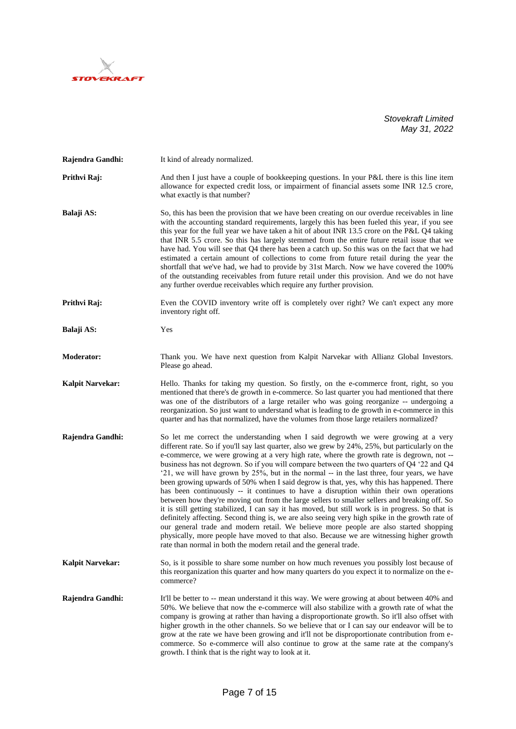

| Rajendra Gandhi:        | It kind of already normalized.                                                                                                                                                                                                                                                                                                                                                                                                                                                                                                                                                                                                                                                                                                                                                                                                                                                                                                                                                                                                                                                                                                                                                                                                             |
|-------------------------|--------------------------------------------------------------------------------------------------------------------------------------------------------------------------------------------------------------------------------------------------------------------------------------------------------------------------------------------------------------------------------------------------------------------------------------------------------------------------------------------------------------------------------------------------------------------------------------------------------------------------------------------------------------------------------------------------------------------------------------------------------------------------------------------------------------------------------------------------------------------------------------------------------------------------------------------------------------------------------------------------------------------------------------------------------------------------------------------------------------------------------------------------------------------------------------------------------------------------------------------|
| Prithvi Raj:            | And then I just have a couple of bookkeeping questions. In your P&L there is this line item<br>allowance for expected credit loss, or impairment of financial assets some INR 12.5 crore,<br>what exactly is that number?                                                                                                                                                                                                                                                                                                                                                                                                                                                                                                                                                                                                                                                                                                                                                                                                                                                                                                                                                                                                                  |
| Balaji AS:              | So, this has been the provision that we have been creating on our overdue receivables in line<br>with the accounting standard requirements, largely this has been fueled this year, if you see<br>this year for the full year we have taken a hit of about INR 13.5 crore on the P&L Q4 taking<br>that INR 5.5 crore. So this has largely stemmed from the entire future retail issue that we<br>have had. You will see that Q4 there has been a catch up. So this was on the fact that we had<br>estimated a certain amount of collections to come from future retail during the year the<br>shortfall that we've had, we had to provide by 31st March. Now we have covered the 100%<br>of the outstanding receivables from future retail under this provision. And we do not have<br>any further overdue receivables which require any further provision.                                                                                                                                                                                                                                                                                                                                                                                |
| Prithvi Raj:            | Even the COVID inventory write off is completely over right? We can't expect any more<br>inventory right off.                                                                                                                                                                                                                                                                                                                                                                                                                                                                                                                                                                                                                                                                                                                                                                                                                                                                                                                                                                                                                                                                                                                              |
| Balaji AS:              | Yes                                                                                                                                                                                                                                                                                                                                                                                                                                                                                                                                                                                                                                                                                                                                                                                                                                                                                                                                                                                                                                                                                                                                                                                                                                        |
| <b>Moderator:</b>       | Thank you. We have next question from Kalpit Narvekar with Allianz Global Investors.<br>Please go ahead.                                                                                                                                                                                                                                                                                                                                                                                                                                                                                                                                                                                                                                                                                                                                                                                                                                                                                                                                                                                                                                                                                                                                   |
| <b>Kalpit Narvekar:</b> | Hello. Thanks for taking my question. So firstly, on the e-commerce front, right, so you<br>mentioned that there's de growth in e-commerce. So last quarter you had mentioned that there<br>was one of the distributors of a large retailer who was going reorganize -- undergoing a<br>reorganization. So just want to understand what is leading to de growth in e-commerce in this<br>quarter and has that normalized, have the volumes from those large retailers normalized?                                                                                                                                                                                                                                                                                                                                                                                                                                                                                                                                                                                                                                                                                                                                                          |
| Rajendra Gandhi:        | So let me correct the understanding when I said degrowth we were growing at a very<br>different rate. So if you'll say last quarter, also we grew by 24%, 25%, but particularly on the<br>e-commerce, we were growing at a very high rate, where the growth rate is degrown, not --<br>business has not degrown. So if you will compare between the two quarters of Q4 '22 and Q4<br>'21, we will have grown by 25%, but in the normal -- in the last three, four years, we have<br>been growing upwards of 50% when I said degrow is that, yes, why this has happened. There<br>has been continuously -- it continues to have a disruption within their own operations<br>between how they're moving out from the large sellers to smaller sellers and breaking off. So<br>it is still getting stabilized, I can say it has moved, but still work is in progress. So that is<br>definitely affecting. Second thing is, we are also seeing very high spike in the growth rate of<br>our general trade and modern retail. We believe more people are also started shopping<br>physically, more people have moved to that also. Because we are witnessing higher growth<br>rate than normal in both the modern retail and the general trade. |
| <b>Kalpit Narvekar:</b> | So, is it possible to share some number on how much revenues you possibly lost because of<br>this reorganization this quarter and how many quarters do you expect it to normalize on the e-<br>commerce?                                                                                                                                                                                                                                                                                                                                                                                                                                                                                                                                                                                                                                                                                                                                                                                                                                                                                                                                                                                                                                   |
| Rajendra Gandhi:        | It'll be better to -- mean understand it this way. We were growing at about between 40% and<br>50%. We believe that now the e-commerce will also stabilize with a growth rate of what the<br>company is growing at rather than having a disproportionate growth. So it'll also offset with<br>higher growth in the other channels. So we believe that or I can say our endeavor will be to<br>grow at the rate we have been growing and it'll not be disproportionate contribution from e-<br>commerce. So e-commerce will also continue to grow at the same rate at the company's<br>growth. I think that is the right way to look at it.                                                                                                                                                                                                                                                                                                                                                                                                                                                                                                                                                                                                 |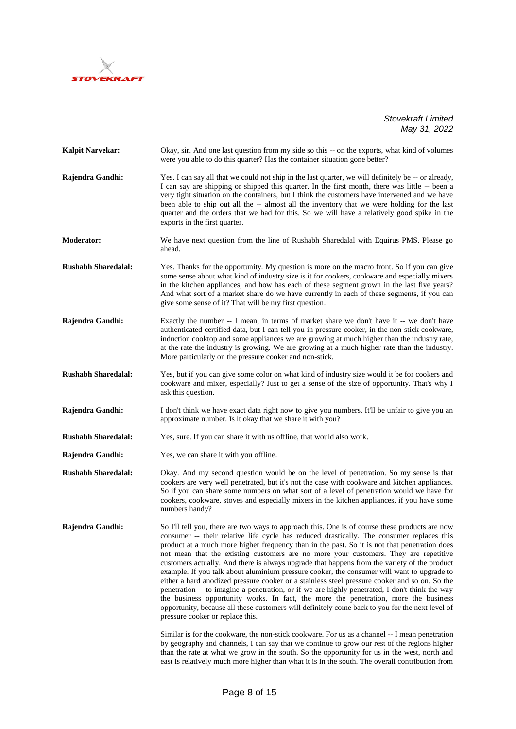

| Kalpit Narvekar:           | Okay, sir. And one last question from my side so this -- on the exports, what kind of volumes<br>were you able to do this quarter? Has the container situation gone better?                                                                                                                                                                                                                                                                                                                                                                                                                                                                                                                                                                                                                                                                                                                                                                                                                                                                                                                                                                                                                                                                                                                                           |
|----------------------------|-----------------------------------------------------------------------------------------------------------------------------------------------------------------------------------------------------------------------------------------------------------------------------------------------------------------------------------------------------------------------------------------------------------------------------------------------------------------------------------------------------------------------------------------------------------------------------------------------------------------------------------------------------------------------------------------------------------------------------------------------------------------------------------------------------------------------------------------------------------------------------------------------------------------------------------------------------------------------------------------------------------------------------------------------------------------------------------------------------------------------------------------------------------------------------------------------------------------------------------------------------------------------------------------------------------------------|
| Rajendra Gandhi:           | Yes. I can say all that we could not ship in the last quarter, we will definitely be -- or already,<br>I can say are shipping or shipped this quarter. In the first month, there was little -- been a<br>very tight situation on the containers, but I think the customers have intervened and we have<br>been able to ship out all the -- almost all the inventory that we were holding for the last<br>quarter and the orders that we had for this. So we will have a relatively good spike in the<br>exports in the first quarter.                                                                                                                                                                                                                                                                                                                                                                                                                                                                                                                                                                                                                                                                                                                                                                                 |
| <b>Moderator:</b>          | We have next question from the line of Rushabh Sharedalal with Equirus PMS. Please go<br>ahead.                                                                                                                                                                                                                                                                                                                                                                                                                                                                                                                                                                                                                                                                                                                                                                                                                                                                                                                                                                                                                                                                                                                                                                                                                       |
| <b>Rushabh Sharedalal:</b> | Yes. Thanks for the opportunity. My question is more on the macro front. So if you can give<br>some sense about what kind of industry size is it for cookers, cookware and especially mixers<br>in the kitchen appliances, and how has each of these segment grown in the last five years?<br>And what sort of a market share do we have currently in each of these segments, if you can<br>give some sense of it? That will be my first question.                                                                                                                                                                                                                                                                                                                                                                                                                                                                                                                                                                                                                                                                                                                                                                                                                                                                    |
| Rajendra Gandhi:           | Exactly the number -- I mean, in terms of market share we don't have it -- we don't have<br>authenticated certified data, but I can tell you in pressure cooker, in the non-stick cookware,<br>induction cooktop and some appliances we are growing at much higher than the industry rate,<br>at the rate the industry is growing. We are growing at a much higher rate than the industry.<br>More particularly on the pressure cooker and non-stick.                                                                                                                                                                                                                                                                                                                                                                                                                                                                                                                                                                                                                                                                                                                                                                                                                                                                 |
| <b>Rushabh Sharedalal:</b> | Yes, but if you can give some color on what kind of industry size would it be for cookers and<br>cookware and mixer, especially? Just to get a sense of the size of opportunity. That's why I<br>ask this question.                                                                                                                                                                                                                                                                                                                                                                                                                                                                                                                                                                                                                                                                                                                                                                                                                                                                                                                                                                                                                                                                                                   |
| Rajendra Gandhi:           | I don't think we have exact data right now to give you numbers. It'll be unfair to give you an<br>approximate number. Is it okay that we share it with you?                                                                                                                                                                                                                                                                                                                                                                                                                                                                                                                                                                                                                                                                                                                                                                                                                                                                                                                                                                                                                                                                                                                                                           |
| <b>Rushabh Sharedalal:</b> | Yes, sure. If you can share it with us offline, that would also work.                                                                                                                                                                                                                                                                                                                                                                                                                                                                                                                                                                                                                                                                                                                                                                                                                                                                                                                                                                                                                                                                                                                                                                                                                                                 |
| Rajendra Gandhi:           | Yes, we can share it with you offline.                                                                                                                                                                                                                                                                                                                                                                                                                                                                                                                                                                                                                                                                                                                                                                                                                                                                                                                                                                                                                                                                                                                                                                                                                                                                                |
| <b>Rushabh Sharedalal:</b> | Okay. And my second question would be on the level of penetration. So my sense is that<br>cookers are very well penetrated, but it's not the case with cookware and kitchen appliances.<br>So if you can share some numbers on what sort of a level of penetration would we have for<br>cookers, cookware, stoves and especially mixers in the kitchen appliances, if you have some<br>numbers handy?                                                                                                                                                                                                                                                                                                                                                                                                                                                                                                                                                                                                                                                                                                                                                                                                                                                                                                                 |
| Rajendra Gandhi:           | So I'll tell you, there are two ways to approach this. One is of course these products are now<br>consumer -- their relative life cycle has reduced drastically. The consumer replaces this<br>product at a much more higher frequency than in the past. So it is not that penetration does<br>not mean that the existing customers are no more your customers. They are repetitive<br>customers actually. And there is always upgrade that happens from the variety of the product<br>example. If you talk about aluminium pressure cooker, the consumer will want to upgrade to<br>either a hard anodized pressure cooker or a stainless steel pressure cooker and so on. So the<br>penetration -- to imagine a penetration, or if we are highly penetrated, I don't think the way<br>the business opportunity works. In fact, the more the penetration, more the business<br>opportunity, because all these customers will definitely come back to you for the next level of<br>pressure cooker or replace this.<br>Similar is for the cookware, the non-stick cookware. For us as a channel -- I mean penetration<br>by geography and channels, I can say that we continue to grow our rest of the regions higher<br>than the rate at what we grow in the south. So the opportunity for us in the west, north and |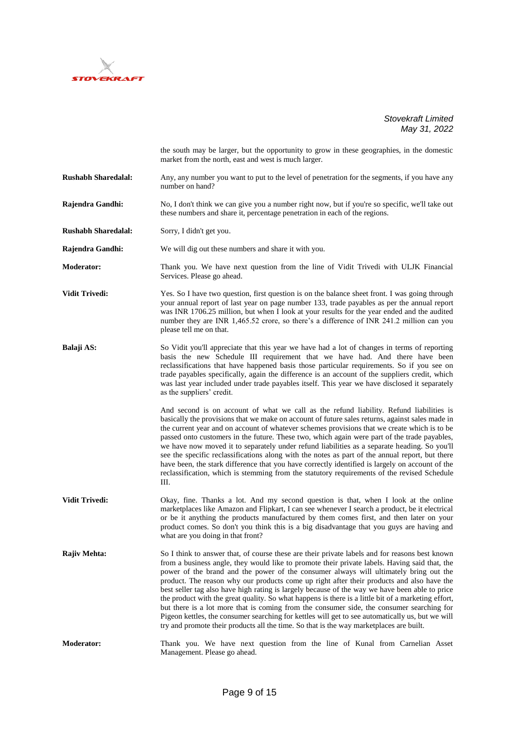

|                            | the south may be larger, but the opportunity to grow in these geographies, in the domestic<br>market from the north, east and west is much larger.                                                                                                                                                                                                                                                                                                                                                                                                                                                                                                                                                                                                                                                                                                                                         |
|----------------------------|--------------------------------------------------------------------------------------------------------------------------------------------------------------------------------------------------------------------------------------------------------------------------------------------------------------------------------------------------------------------------------------------------------------------------------------------------------------------------------------------------------------------------------------------------------------------------------------------------------------------------------------------------------------------------------------------------------------------------------------------------------------------------------------------------------------------------------------------------------------------------------------------|
| <b>Rushabh Sharedalal:</b> | Any, any number you want to put to the level of penetration for the segments, if you have any<br>number on hand?                                                                                                                                                                                                                                                                                                                                                                                                                                                                                                                                                                                                                                                                                                                                                                           |
| Rajendra Gandhi:           | No, I don't think we can give you a number right now, but if you're so specific, we'll take out<br>these numbers and share it, percentage penetration in each of the regions.                                                                                                                                                                                                                                                                                                                                                                                                                                                                                                                                                                                                                                                                                                              |
| <b>Rushabh Sharedalal:</b> | Sorry, I didn't get you.                                                                                                                                                                                                                                                                                                                                                                                                                                                                                                                                                                                                                                                                                                                                                                                                                                                                   |
| Rajendra Gandhi:           | We will dig out these numbers and share it with you.                                                                                                                                                                                                                                                                                                                                                                                                                                                                                                                                                                                                                                                                                                                                                                                                                                       |
| <b>Moderator:</b>          | Thank you. We have next question from the line of Vidit Trivedi with ULJK Financial<br>Services. Please go ahead.                                                                                                                                                                                                                                                                                                                                                                                                                                                                                                                                                                                                                                                                                                                                                                          |
| <b>Vidit Trivedi:</b>      | Yes. So I have two question, first question is on the balance sheet front. I was going through<br>your annual report of last year on page number 133, trade payables as per the annual report<br>was INR 1706.25 million, but when I look at your results for the year ended and the audited<br>number they are INR 1,465.52 crore, so there's a difference of INR 241.2 million can you<br>please tell me on that.                                                                                                                                                                                                                                                                                                                                                                                                                                                                        |
| Balaji AS:                 | So Vidit you'll appreciate that this year we have had a lot of changes in terms of reporting<br>basis the new Schedule III requirement that we have had. And there have been<br>reclassifications that have happened basis those particular requirements. So if you see on<br>trade payables specifically, again the difference is an account of the suppliers credit, which<br>was last year included under trade payables itself. This year we have disclosed it separately<br>as the suppliers' credit.                                                                                                                                                                                                                                                                                                                                                                                 |
|                            | And second is on account of what we call as the refund liability. Refund liabilities is<br>basically the provisions that we make on account of future sales returns, against sales made in<br>the current year and on account of whatever schemes provisions that we create which is to be<br>passed onto customers in the future. These two, which again were part of the trade payables,<br>we have now moved it to separately under refund liabilities as a separate heading. So you'll<br>see the specific reclassifications along with the notes as part of the annual report, but there<br>have been, the stark difference that you have correctly identified is largely on account of the<br>reclassification, which is stemming from the statutory requirements of the revised Schedule<br>Ш.                                                                                      |
| <b>Vidit Trivedi:</b>      | Okay, fine. Thanks a lot. And my second question is that, when I look at the online<br>marketplaces like Amazon and Flipkart, I can see whenever I search a product, be it electrical<br>or be it anything the products manufactured by them comes first, and then later on your<br>product comes. So don't you think this is a big disadvantage that you guys are having and<br>what are you doing in that front?                                                                                                                                                                                                                                                                                                                                                                                                                                                                         |
| Rajiv Mehta:               | So I think to answer that, of course these are their private labels and for reasons best known<br>from a business angle, they would like to promote their private labels. Having said that, the<br>power of the brand and the power of the consumer always will ultimately bring out the<br>product. The reason why our products come up right after their products and also have the<br>best seller tag also have high rating is largely because of the way we have been able to price<br>the product with the great quality. So what happens is there is a little bit of a marketing effort,<br>but there is a lot more that is coming from the consumer side, the consumer searching for<br>Pigeon kettles, the consumer searching for kettles will get to see automatically us, but we will<br>try and promote their products all the time. So that is the way marketplaces are built. |
| <b>Moderator:</b>          | Thank you. We have next question from the line of Kunal from Carnelian Asset<br>Management. Please go ahead.                                                                                                                                                                                                                                                                                                                                                                                                                                                                                                                                                                                                                                                                                                                                                                               |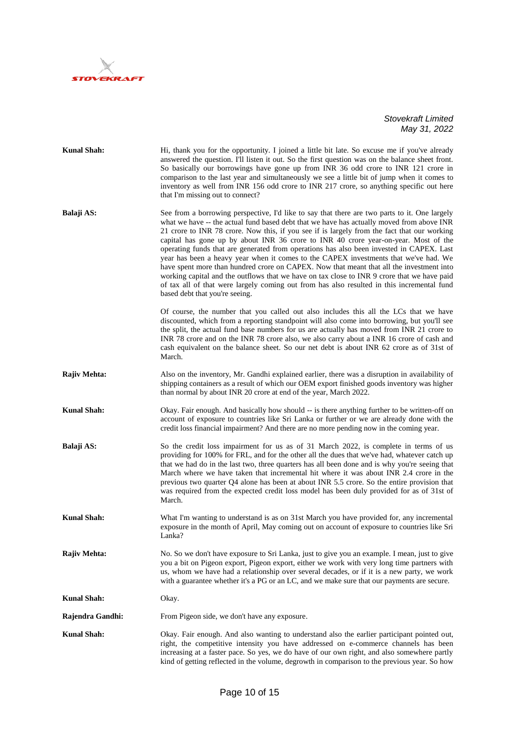

| <b>Kunal Shah:</b> | Hi, thank you for the opportunity. I joined a little bit late. So excuse me if you've already<br>answered the question. I'll listen it out. So the first question was on the balance sheet front.<br>So basically our borrowings have gone up from INR 36 odd crore to INR 121 crore in<br>comparison to the last year and simultaneously we see a little bit of jump when it comes to<br>inventory as well from INR 156 odd crore to INR 217 crore, so anything specific out here<br>that I'm missing out to connect?                                                                                                                                                                                                                                                                                                                                                                          |
|--------------------|-------------------------------------------------------------------------------------------------------------------------------------------------------------------------------------------------------------------------------------------------------------------------------------------------------------------------------------------------------------------------------------------------------------------------------------------------------------------------------------------------------------------------------------------------------------------------------------------------------------------------------------------------------------------------------------------------------------------------------------------------------------------------------------------------------------------------------------------------------------------------------------------------|
| Balaji AS:         | See from a borrowing perspective, I'd like to say that there are two parts to it. One largely<br>what we have -- the actual fund based debt that we have has actually moved from above INR<br>21 crore to INR 78 crore. Now this, if you see if is largely from the fact that our working<br>capital has gone up by about INR 36 crore to INR 40 crore year-on-year. Most of the<br>operating funds that are generated from operations has also been invested in CAPEX. Last<br>year has been a heavy year when it comes to the CAPEX investments that we've had. We<br>have spent more than hundred crore on CAPEX. Now that meant that all the investment into<br>working capital and the outflows that we have on tax close to INR 9 crore that we have paid<br>of tax all of that were largely coming out from has also resulted in this incremental fund<br>based debt that you're seeing. |
|                    | Of course, the number that you called out also includes this all the LCs that we have<br>discounted, which from a reporting standpoint will also come into borrowing, but you'll see<br>the split, the actual fund base numbers for us are actually has moved from INR 21 crore to<br>INR 78 crore and on the INR 78 crore also, we also carry about a INR 16 crore of cash and<br>cash equivalent on the balance sheet. So our net debt is about INR 62 crore as of 31st of<br>March.                                                                                                                                                                                                                                                                                                                                                                                                          |
| Rajiv Mehta:       | Also on the inventory, Mr. Gandhi explained earlier, there was a disruption in availability of<br>shipping containers as a result of which our OEM export finished goods inventory was higher<br>than normal by about INR 20 crore at end of the year, March 2022.                                                                                                                                                                                                                                                                                                                                                                                                                                                                                                                                                                                                                              |
| <b>Kunal Shah:</b> | Okay. Fair enough. And basically how should -- is there anything further to be written-off on<br>account of exposure to countries like Sri Lanka or further or we are already done with the<br>credit loss financial impairment? And there are no more pending now in the coming year.                                                                                                                                                                                                                                                                                                                                                                                                                                                                                                                                                                                                          |
| Balaji AS:         | So the credit loss impairment for us as of 31 March 2022, is complete in terms of us<br>providing for 100% for FRL, and for the other all the dues that we've had, whatever catch up<br>that we had do in the last two, three quarters has all been done and is why you're seeing that<br>March where we have taken that incremental hit where it was about INR 2.4 crore in the<br>previous two quarter Q4 alone has been at about INR 5.5 crore. So the entire provision that<br>was required from the expected credit loss model has been duly provided for as of 31st of<br>March.                                                                                                                                                                                                                                                                                                          |
| <b>Kunal Shah:</b> | What I'm wanting to understand is as on 31st March you have provided for, any incremental<br>exposure in the month of April, May coming out on account of exposure to countries like Sri<br>Lanka?                                                                                                                                                                                                                                                                                                                                                                                                                                                                                                                                                                                                                                                                                              |
| Rajiv Mehta:       | No. So we don't have exposure to Sri Lanka, just to give you an example. I mean, just to give<br>you a bit on Pigeon export, Pigeon export, either we work with very long time partners with<br>us, whom we have had a relationship over several decades, or if it is a new party, we work<br>with a guarantee whether it's a PG or an LC, and we make sure that our payments are secure.                                                                                                                                                                                                                                                                                                                                                                                                                                                                                                       |
| <b>Kunal Shah:</b> | Okay.                                                                                                                                                                                                                                                                                                                                                                                                                                                                                                                                                                                                                                                                                                                                                                                                                                                                                           |
| Rajendra Gandhi:   | From Pigeon side, we don't have any exposure.                                                                                                                                                                                                                                                                                                                                                                                                                                                                                                                                                                                                                                                                                                                                                                                                                                                   |
| <b>Kunal Shah:</b> | Okay. Fair enough. And also wanting to understand also the earlier participant pointed out,<br>right, the competitive intensity you have addressed on e-commerce channels has been<br>increasing at a faster pace. So yes, we do have of our own right, and also somewhere partly<br>kind of getting reflected in the volume, degrowth in comparison to the previous year. So how                                                                                                                                                                                                                                                                                                                                                                                                                                                                                                               |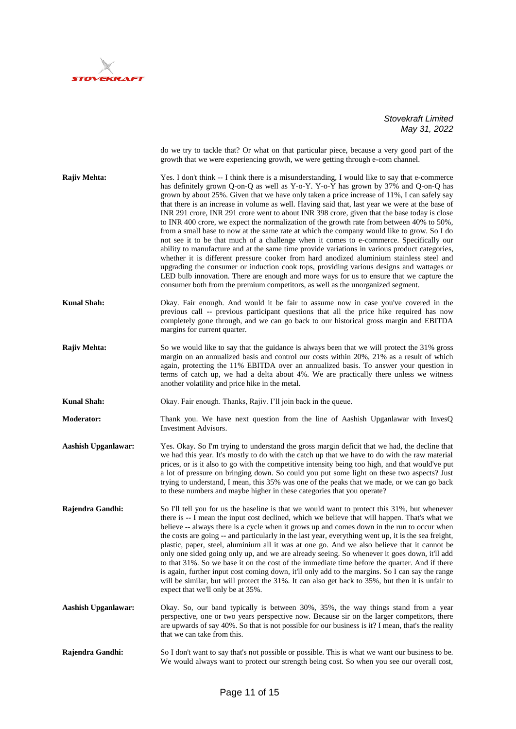

|                            | do we try to tackle that? Or what on that particular piece, because a very good part of the<br>growth that we were experiencing growth, we were getting through e-com channel.                                                                                                                                                                                                                                                                                                                                                                                                                                                                                                                                                                                                                                                                                                                                                                                                                                                                                                                                                                                                                                                                        |
|----------------------------|-------------------------------------------------------------------------------------------------------------------------------------------------------------------------------------------------------------------------------------------------------------------------------------------------------------------------------------------------------------------------------------------------------------------------------------------------------------------------------------------------------------------------------------------------------------------------------------------------------------------------------------------------------------------------------------------------------------------------------------------------------------------------------------------------------------------------------------------------------------------------------------------------------------------------------------------------------------------------------------------------------------------------------------------------------------------------------------------------------------------------------------------------------------------------------------------------------------------------------------------------------|
| Rajiv Mehta:               | Yes. I don't think -- I think there is a misunderstanding, I would like to say that e-commerce<br>has definitely grown Q-on-Q as well as Y-o-Y. Y-o-Y has grown by 37% and Q-on-Q has<br>grown by about 25%. Given that we have only taken a price increase of 11%, I can safely say<br>that there is an increase in volume as well. Having said that, last year we were at the base of<br>INR 291 crore, INR 291 crore went to about INR 398 crore, given that the base today is close<br>to INR 400 crore, we expect the normalization of the growth rate from between 40% to 50%,<br>from a small base to now at the same rate at which the company would like to grow. So I do<br>not see it to be that much of a challenge when it comes to e-commerce. Specifically our<br>ability to manufacture and at the same time provide variations in various product categories,<br>whether it is different pressure cooker from hard anodized aluminium stainless steel and<br>upgrading the consumer or induction cook tops, providing various designs and wattages or<br>LED bulb innovation. There are enough and more ways for us to ensure that we capture the<br>consumer both from the premium competitors, as well as the unorganized segment. |
| <b>Kunal Shah:</b>         | Okay. Fair enough. And would it be fair to assume now in case you've covered in the<br>previous call -- previous participant questions that all the price hike required has now<br>completely gone through, and we can go back to our historical gross margin and EBITDA<br>margins for current quarter.                                                                                                                                                                                                                                                                                                                                                                                                                                                                                                                                                                                                                                                                                                                                                                                                                                                                                                                                              |
| <b>Rajiv Mehta:</b>        | So we would like to say that the guidance is always been that we will protect the 31% gross<br>margin on an annualized basis and control our costs within 20%, 21% as a result of which<br>again, protecting the 11% EBITDA over an annualized basis. To answer your question in<br>terms of catch up, we had a delta about 4%. We are practically there unless we witness<br>another volatility and price hike in the metal.                                                                                                                                                                                                                                                                                                                                                                                                                                                                                                                                                                                                                                                                                                                                                                                                                         |
| <b>Kunal Shah:</b>         | Okay. Fair enough. Thanks, Rajiv. I'll join back in the queue.                                                                                                                                                                                                                                                                                                                                                                                                                                                                                                                                                                                                                                                                                                                                                                                                                                                                                                                                                                                                                                                                                                                                                                                        |
| <b>Moderator:</b>          | Thank you. We have next question from the line of Aashish Upganlawar with InvesQ<br><b>Investment Advisors.</b>                                                                                                                                                                                                                                                                                                                                                                                                                                                                                                                                                                                                                                                                                                                                                                                                                                                                                                                                                                                                                                                                                                                                       |
| <b>Aashish Upganlawar:</b> | Yes. Okay. So I'm trying to understand the gross margin deficit that we had, the decline that<br>we had this year. It's mostly to do with the catch up that we have to do with the raw material<br>prices, or is it also to go with the competitive intensity being too high, and that would've put<br>a lot of pressure on bringing down. So could you put some light on these two aspects? Just<br>trying to understand, I mean, this 35% was one of the peaks that we made, or we can go back<br>to these numbers and maybe higher in these categories that you operate?                                                                                                                                                                                                                                                                                                                                                                                                                                                                                                                                                                                                                                                                           |
| Rajendra Gandhi:           | So I'll tell you for us the baseline is that we would want to protect this 31%, but whenever<br>there is -- I mean the input cost declined, which we believe that will happen. That's what we<br>believe -- always there is a cycle when it grows up and comes down in the run to occur when<br>the costs are going -- and particularly in the last year, everything went up, it is the sea freight,<br>plastic, paper, steel, aluminium all it was at one go. And we also believe that it cannot be<br>only one sided going only up, and we are already seeing. So whenever it goes down, it'll add<br>to that 31%. So we base it on the cost of the immediate time before the quarter. And if there<br>is again, further input cost coming down, it'll only add to the margins. So I can say the range<br>will be similar, but will protect the 31%. It can also get back to 35%, but then it is unfair to<br>expect that we'll only be at 35%.                                                                                                                                                                                                                                                                                                     |
| <b>Aashish Upganlawar:</b> | Okay. So, our band typically is between 30%, 35%, the way things stand from a year<br>perspective, one or two years perspective now. Because sir on the larger competitors, there<br>are upwards of say 40%. So that is not possible for our business is it? I mean, that's the reality<br>that we can take from this.                                                                                                                                                                                                                                                                                                                                                                                                                                                                                                                                                                                                                                                                                                                                                                                                                                                                                                                                |
| Rajendra Gandhi:           | So I don't want to say that's not possible or possible. This is what we want our business to be.<br>We would always want to protect our strength being cost. So when you see our overall cost,                                                                                                                                                                                                                                                                                                                                                                                                                                                                                                                                                                                                                                                                                                                                                                                                                                                                                                                                                                                                                                                        |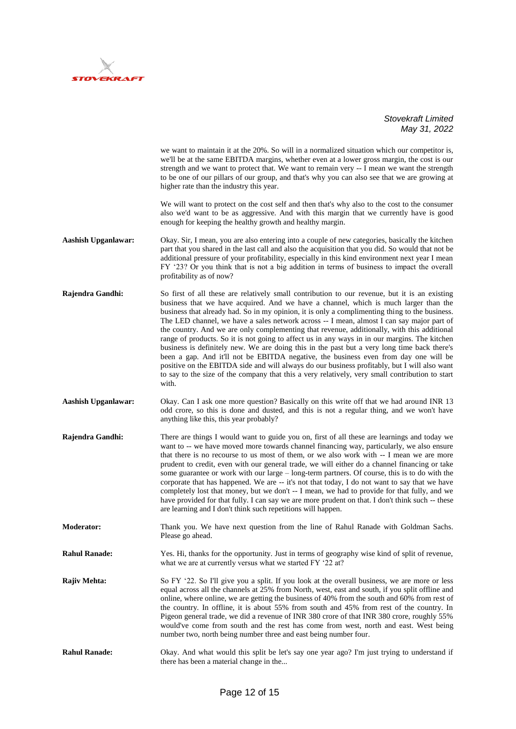

|                            | we want to maintain it at the 20%. So will in a normalized situation which our competitor is,<br>we'll be at the same EBITDA margins, whether even at a lower gross margin, the cost is our<br>strength and we want to protect that. We want to remain very -- I mean we want the strength<br>to be one of our pillars of our group, and that's why you can also see that we are growing at<br>higher rate than the industry this year.<br>We will want to protect on the cost self and then that's why also to the cost to the consumer<br>also we'd want to be as aggressive. And with this margin that we currently have is good<br>enough for keeping the healthy growth and healthy margin.                                                                                                                                                                                                                                                                                        |
|----------------------------|-----------------------------------------------------------------------------------------------------------------------------------------------------------------------------------------------------------------------------------------------------------------------------------------------------------------------------------------------------------------------------------------------------------------------------------------------------------------------------------------------------------------------------------------------------------------------------------------------------------------------------------------------------------------------------------------------------------------------------------------------------------------------------------------------------------------------------------------------------------------------------------------------------------------------------------------------------------------------------------------|
| <b>Aashish Upganlawar:</b> | Okay. Sir, I mean, you are also entering into a couple of new categories, basically the kitchen<br>part that you shared in the last call and also the acquisition that you did. So would that not be<br>additional pressure of your profitability, especially in this kind environment next year I mean<br>FY '23? Or you think that is not a big addition in terms of business to impact the overall<br>profitability as of now?                                                                                                                                                                                                                                                                                                                                                                                                                                                                                                                                                       |
| Rajendra Gandhi:           | So first of all these are relatively small contribution to our revenue, but it is an existing<br>business that we have acquired. And we have a channel, which is much larger than the<br>business that already had. So in my opinion, it is only a complimenting thing to the business.<br>The LED channel, we have a sales network across -- I mean, almost I can say major part of<br>the country. And we are only complementing that revenue, additionally, with this additional<br>range of products. So it is not going to affect us in any ways in in our margins. The kitchen<br>business is definitely new. We are doing this in the past but a very long time back there's<br>been a gap. And it'll not be EBITDA negative, the business even from day one will be<br>positive on the EBITDA side and will always do our business profitably, but I will also want<br>to say to the size of the company that this a very relatively, very small contribution to start<br>with. |
| <b>Aashish Upganlawar:</b> | Okay. Can I ask one more question? Basically on this write off that we had around INR 13<br>odd crore, so this is done and dusted, and this is not a regular thing, and we won't have<br>anything like this, this year probably?                                                                                                                                                                                                                                                                                                                                                                                                                                                                                                                                                                                                                                                                                                                                                        |
| Rajendra Gandhi:           | There are things I would want to guide you on, first of all these are learnings and today we<br>want to -- we have moved more towards channel financing way, particularly, we also ensure<br>that there is no recourse to us most of them, or we also work with -- I mean we are more<br>prudent to credit, even with our general trade, we will either do a channel financing or take<br>some guarantee or work with our large – long-term partners. Of course, this is to do with the<br>corporate that has happened. We are -- it's not that today, I do not want to say that we have<br>completely lost that money, but we don't -- I mean, we had to provide for that fully, and we<br>have provided for that fully. I can say we are more prudent on that. I don't think such -- these<br>are learning and I don't think such repetitions will happen.                                                                                                                            |
| <b>Moderator:</b>          | Thank you. We have next question from the line of Rahul Ranade with Goldman Sachs.<br>Please go ahead.                                                                                                                                                                                                                                                                                                                                                                                                                                                                                                                                                                                                                                                                                                                                                                                                                                                                                  |
| <b>Rahul Ranade:</b>       | Yes. Hi, thanks for the opportunity. Just in terms of geography wise kind of split of revenue,<br>what we are at currently versus what we started FY '22 at?                                                                                                                                                                                                                                                                                                                                                                                                                                                                                                                                                                                                                                                                                                                                                                                                                            |
| Rajiv Mehta:               | So FY '22. So I'll give you a split. If you look at the overall business, we are more or less<br>equal across all the channels at 25% from North, west, east and south, if you split offline and<br>online, where online, we are getting the business of 40% from the south and 60% from rest of<br>the country. In offline, it is about 55% from south and 45% from rest of the country. In<br>Pigeon general trade, we did a revenue of INR 380 crore of that INR 380 crore, roughly 55%<br>would've come from south and the rest has come from west, north and east. West being<br>number two, north being number three and east being number four.                                                                                                                                                                                                                                                                                                                                  |
| <b>Rahul Ranade:</b>       | Okay. And what would this split be let's say one year ago? I'm just trying to understand if<br>there has been a material change in the                                                                                                                                                                                                                                                                                                                                                                                                                                                                                                                                                                                                                                                                                                                                                                                                                                                  |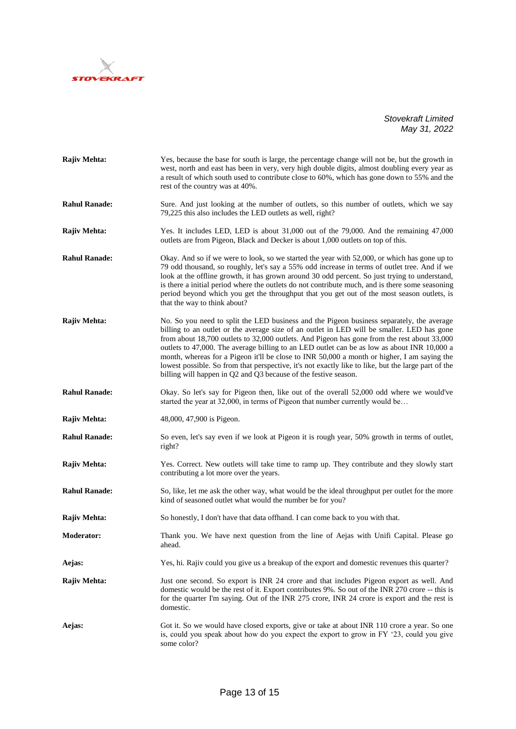

| Rajiv Mehta:         | Yes, because the base for south is large, the percentage change will not be, but the growth in<br>west, north and east has been in very, very high double digits, almost doubling every year as<br>a result of which south used to contribute close to 60%, which has gone down to 55% and the<br>rest of the country was at 40%.                                                                                                                                                                                                                                                                                                                              |
|----------------------|----------------------------------------------------------------------------------------------------------------------------------------------------------------------------------------------------------------------------------------------------------------------------------------------------------------------------------------------------------------------------------------------------------------------------------------------------------------------------------------------------------------------------------------------------------------------------------------------------------------------------------------------------------------|
| <b>Rahul Ranade:</b> | Sure. And just looking at the number of outlets, so this number of outlets, which we say<br>79,225 this also includes the LED outlets as well, right?                                                                                                                                                                                                                                                                                                                                                                                                                                                                                                          |
| <b>Rajiv Mehta:</b>  | Yes. It includes LED, LED is about 31,000 out of the 79,000. And the remaining 47,000<br>outlets are from Pigeon, Black and Decker is about 1,000 outlets on top of this.                                                                                                                                                                                                                                                                                                                                                                                                                                                                                      |
| <b>Rahul Ranade:</b> | Okay. And so if we were to look, so we started the year with 52,000, or which has gone up to<br>79 odd thousand, so roughly, let's say a 55% odd increase in terms of outlet tree. And if we<br>look at the offline growth, it has grown around 30 odd percent. So just trying to understand,<br>is there a initial period where the outlets do not contribute much, and is there some seasoning<br>period beyond which you get the throughput that you get out of the most season outlets, is<br>that the way to think about?                                                                                                                                 |
| Rajiv Mehta:         | No. So you need to split the LED business and the Pigeon business separately, the average<br>billing to an outlet or the average size of an outlet in LED will be smaller. LED has gone<br>from about 18,700 outlets to 32,000 outlets. And Pigeon has gone from the rest about 33,000<br>outlets to 47,000. The average billing to an LED outlet can be as low as about INR 10,000 a<br>month, whereas for a Pigeon it'll be close to INR 50,000 a month or higher, I am saying the<br>lowest possible. So from that perspective, it's not exactly like to like, but the large part of the<br>billing will happen in Q2 and Q3 because of the festive season. |
| <b>Rahul Ranade:</b> | Okay. So let's say for Pigeon then, like out of the overall 52,000 odd where we would've<br>started the year at 32,000, in terms of Pigeon that number currently would be                                                                                                                                                                                                                                                                                                                                                                                                                                                                                      |
| Rajiv Mehta:         | 48,000, 47,900 is Pigeon.                                                                                                                                                                                                                                                                                                                                                                                                                                                                                                                                                                                                                                      |
| <b>Rahul Ranade:</b> | So even, let's say even if we look at Pigeon it is rough year, 50% growth in terms of outlet,<br>right?                                                                                                                                                                                                                                                                                                                                                                                                                                                                                                                                                        |
| <b>Rajiv Mehta:</b>  | Yes. Correct. New outlets will take time to ramp up. They contribute and they slowly start<br>contributing a lot more over the years.                                                                                                                                                                                                                                                                                                                                                                                                                                                                                                                          |
| <b>Rahul Ranade:</b> | So, like, let me ask the other way, what would be the ideal throughput per outlet for the more<br>kind of seasoned outlet what would the number be for you?                                                                                                                                                                                                                                                                                                                                                                                                                                                                                                    |
| <b>Rajiv Mehta:</b>  | So honestly, I don't have that data offhand. I can come back to you with that.                                                                                                                                                                                                                                                                                                                                                                                                                                                                                                                                                                                 |
| Moderator:           | Thank you. We have next question from the line of Aejas with Unifi Capital. Please go<br>ahead.                                                                                                                                                                                                                                                                                                                                                                                                                                                                                                                                                                |
| Aejas:               | Yes, hi. Rajiv could you give us a breakup of the export and domestic revenues this quarter?                                                                                                                                                                                                                                                                                                                                                                                                                                                                                                                                                                   |
| Rajiv Mehta:         | Just one second. So export is INR 24 crore and that includes Pigeon export as well. And<br>domestic would be the rest of it. Export contributes 9%. So out of the INR 270 crore -- this is<br>for the quarter I'm saying. Out of the INR 275 crore, INR 24 crore is export and the rest is<br>domestic.                                                                                                                                                                                                                                                                                                                                                        |
| Aejas:               | Got it. So we would have closed exports, give or take at about INR 110 crore a year. So one<br>is, could you speak about how do you expect the export to grow in FY '23, could you give<br>some color?                                                                                                                                                                                                                                                                                                                                                                                                                                                         |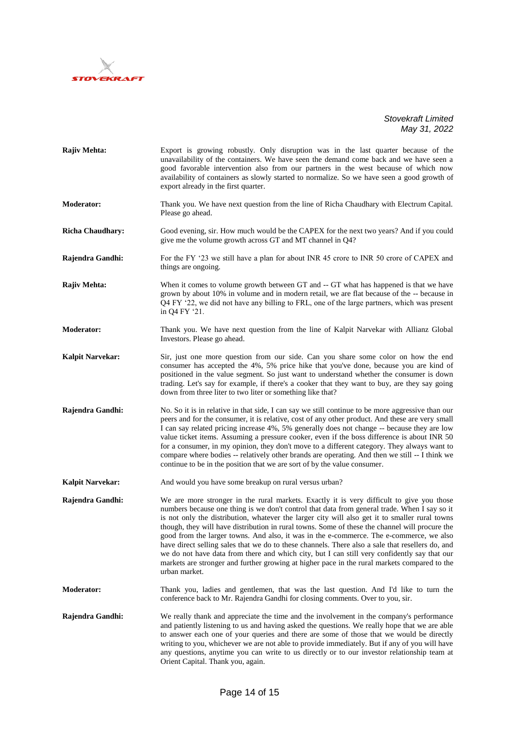

| Rajiv Mehta:            | Export is growing robustly. Only disruption was in the last quarter because of the<br>unavailability of the containers. We have seen the demand come back and we have seen a<br>good favorable intervention also from our partners in the west because of which now<br>availability of containers as slowly started to normalize. So we have seen a good growth of<br>export already in the first quarter.                                                                                                                                                                                                                                                                                                                                                                                                    |
|-------------------------|---------------------------------------------------------------------------------------------------------------------------------------------------------------------------------------------------------------------------------------------------------------------------------------------------------------------------------------------------------------------------------------------------------------------------------------------------------------------------------------------------------------------------------------------------------------------------------------------------------------------------------------------------------------------------------------------------------------------------------------------------------------------------------------------------------------|
| <b>Moderator:</b>       | Thank you. We have next question from the line of Richa Chaudhary with Electrum Capital.<br>Please go ahead.                                                                                                                                                                                                                                                                                                                                                                                                                                                                                                                                                                                                                                                                                                  |
| <b>Richa Chaudhary:</b> | Good evening, sir. How much would be the CAPEX for the next two years? And if you could<br>give me the volume growth across GT and MT channel in Q4?                                                                                                                                                                                                                                                                                                                                                                                                                                                                                                                                                                                                                                                          |
| Rajendra Gandhi:        | For the FY '23 we still have a plan for about INR 45 crore to INR 50 crore of CAPEX and<br>things are ongoing.                                                                                                                                                                                                                                                                                                                                                                                                                                                                                                                                                                                                                                                                                                |
| Rajiv Mehta:            | When it comes to volume growth between GT and -- GT what has happened is that we have<br>grown by about 10% in volume and in modern retail, we are flat because of the -- because in<br>Q4 FY '22, we did not have any billing to FRL, one of the large partners, which was present<br>in Q4 FY '21.                                                                                                                                                                                                                                                                                                                                                                                                                                                                                                          |
| <b>Moderator:</b>       | Thank you. We have next question from the line of Kalpit Narvekar with Allianz Global<br>Investors. Please go ahead.                                                                                                                                                                                                                                                                                                                                                                                                                                                                                                                                                                                                                                                                                          |
| <b>Kalpit Narvekar:</b> | Sir, just one more question from our side. Can you share some color on how the end<br>consumer has accepted the 4%, 5% price hike that you've done, because you are kind of<br>positioned in the value segment. So just want to understand whether the consumer is down<br>trading. Let's say for example, if there's a cooker that they want to buy, are they say going<br>down from three liter to two liter or something like that?                                                                                                                                                                                                                                                                                                                                                                        |
| Rajendra Gandhi:        | No. So it is in relative in that side, I can say we still continue to be more aggressive than our<br>peers and for the consumer, it is relative, cost of any other product. And these are very small<br>I can say related pricing increase 4%, 5% generally does not change -- because they are low<br>value ticket items. Assuming a pressure cooker, even if the boss difference is about INR 50<br>for a consumer, in my opinion, they don't move to a different category. They always want to<br>compare where bodies -- relatively other brands are operating. And then we still -- I think we<br>continue to be in the position that we are sort of by the value consumer.                                                                                                                              |
| <b>Kalpit Narvekar:</b> | And would you have some breakup on rural versus urban?                                                                                                                                                                                                                                                                                                                                                                                                                                                                                                                                                                                                                                                                                                                                                        |
| Rajendra Gandhi:        | We are more stronger in the rural markets. Exactly it is very difficult to give you those<br>numbers because one thing is we don't control that data from general trade. When I say so it<br>is not only the distribution, whatever the larger city will also get it to smaller rural towns<br>though, they will have distribution in rural towns. Some of these the channel will procure the<br>good from the larger towns. And also, it was in the e-commerce. The e-commerce, we also<br>have direct selling sales that we do to these channels. There also a sale that resellers do, and<br>we do not have data from there and which city, but I can still very confidently say that our<br>markets are stronger and further growing at higher pace in the rural markets compared to the<br>urban market. |
| Moderator:              | Thank you, ladies and gentlemen, that was the last question. And I'd like to turn the<br>conference back to Mr. Rajendra Gandhi for closing comments. Over to you, sir.                                                                                                                                                                                                                                                                                                                                                                                                                                                                                                                                                                                                                                       |
| Rajendra Gandhi:        | We really thank and appreciate the time and the involvement in the company's performance<br>and patiently listening to us and having asked the questions. We really hope that we are able<br>to answer each one of your queries and there are some of those that we would be directly<br>writing to you, whichever we are not able to provide immediately. But if any of you will have<br>any questions, anytime you can write to us directly or to our investor relationship team at<br>Orient Capital. Thank you, again.                                                                                                                                                                                                                                                                                    |